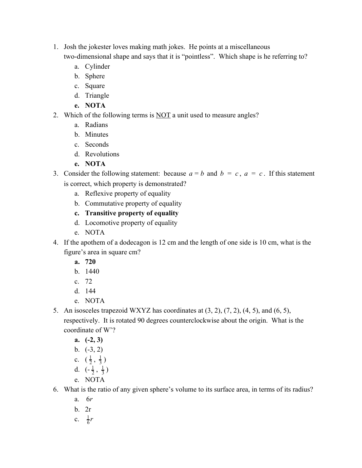- 1. Josh the jokester loves making math jokes. He points at a miscellaneous two-dimensional shape and says that it is "pointless". Which shape is he referring to?
	- a. Cylinder
	- b. Sphere
	- c. Square
	- d. Triangle
	- **e. NOTA**
- 2. Which of the following terms is NOT a unit used to measure angles?
	- a. Radians
	- b. Minutes
	- c. Seconds
	- d. Revolutions
	- **e. NOTA**
- 3. Consider the following statement: because  $a = b$  and  $b = c$ ,  $a = c$ . If this statement is correct, which property is demonstrated?
	- a. Reflexive property of equality
	- b. Commutative property of equality
	- **c. Transitive property of equality**
	- d. Locomotive property of equality
	- e. NOTA
- 4. If the apothem of a dodecagon is 12 cm and the length of one side is 10 cm, what is the figure's area in square cm?
	- **a. 720**
	- b. 1440
	- c. 72
	- d. 144
	- e. NOTA
- 5. An isosceles trapezoid WXYZ has coordinates at  $(3, 2)$ ,  $(7, 2)$ ,  $(4, 5)$ , and  $(6, 5)$ , respectively. It is rotated 90 degrees counterclockwise about the origin. What is the coordinate of W'?
	- **a. (-2, 3)**
	- b.  $(-3, 2)$
	- c.  $(\frac{1}{2}, \frac{1}{3})$ 1 1
	- 3 d.  $\left(-\frac{1}{2}, \frac{1}{3}\right)$ 1 1
	- 3 e. NOTA
- 6. What is the ratio of any given sphere's volume to its surface area, in terms of its radius?
	- a. 6*r*
	- b. 2r
	- c.  $\frac{1}{6}r$ 1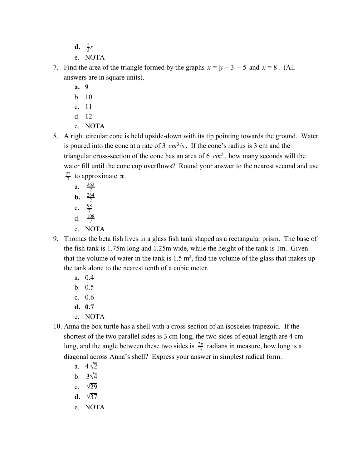- **d.**  $\frac{1}{3}r$ 1
- e. NOTA
- 7. Find the area of the triangle formed by the graphs  $x = |y 3| + 5$  and  $x = 8$ . (All answers are in square units).
	- **a. 9**
	- b. 10
	- c. 11
	- d. 12
	- e. NOTA
- 8. A right circular cone is held upside-down with its tip pointing towards the ground. Water is poured into the cone at a rate of 3  $cm^3/s$ . If the cone's radius is 3 cm and the triangular cross-section of the cone has an area of  $6 \, \text{cm}^2$ , how many seconds will the water fill until the cone cup overflows? Round your answer to the nearest second and use  $\frac{22}{7}$  to approximate  $\pi$ .
	- a.  $\frac{262}{7}$ **b.**  $\frac{264}{7}$
	- c.  $\frac{98}{7}$
	- d.  $\frac{108}{7}$
	- e. NOTA
- 9. Thomas the beta fish lives in a glass fish tank shaped as a rectangular prism. The base of the fish tank is 1.75m long and 1.25m wide, while the height of the tank is 1m. Given that the volume of water in the tank is  $1.5 \text{ m}^3$ , find the volume of the glass that makes up the tank alone to the nearest tenth of a cubic meter.
	- a. 0.4
	- b. 0.5
	- c. 0.6
	- **d. 0.7**
	- e. NOTA
- 10. Anna the box turtle has a shell with a cross section of an isosceles trapezoid. If the shortest of the two parallel sides is 3 cm long, the two sides of equal length are 4 cm long, and the angle between these two sides is  $\frac{2\pi}{3}$  radians in measure, how long is a diagonal across Anna's shell? Express your answer in simplest radical form.
	- a.  $4\sqrt{2}$
	- b.  $3\sqrt{4}$
	- c.  $\sqrt{29}$
	- **d.** √37
	- e. NOTA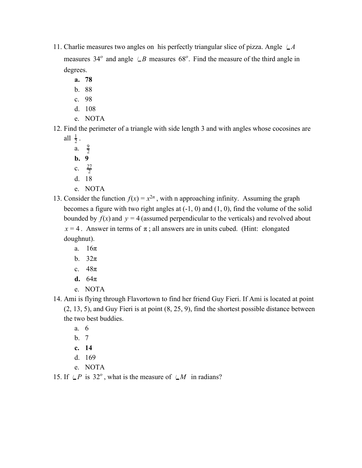- 11. Charlie measures two angles on his perfectly triangular slice of pizza. Angle  $\angle A$ measures 34<sup>°</sup> and angle  $\angle B$  measures 68<sup>°</sup>. Find the measure of the third angle in degrees.
	- **a. 78**
	- b. 88
	- c. 98
	- d. 108
	- e. NOTA

12. Find the perimeter of a triangle with side length 3 and with angles whose cocosines are all  $\frac{1}{2}$ . 1

- a.  $\frac{9}{2}$
- **b. 9**
- c.  $\frac{27}{2}$
- d. 18
- e. NOTA
- 13. Consider the function  $f(x) = x^{2n}$ , with n approaching infinity. Assuming the graph becomes a figure with two right angles at (-1, 0) and (1, 0), find the volume of the solid bounded by  $f(x)$  and  $y = 4$  (assumed perpendicular to the verticals) and revolved about  $x = 4$ . Answer in terms of  $\pi$ ; all answers are in units cubed. (Hint: elongated doughnut).
	- a. 16π
	- b.  $32\pi$
	- c. 48π
	- **d.** 64π
	- e. NOTA
- 14. Ami is flying through Flavortown to find her friend Guy Fieri. If Ami is located at point (2, 13, 5), and Guy Fieri is at point (8, 25, 9), find the shortest possible distance between the two best buddies.
	- a. 6
	- b. 7
	- **c. 14**
	- d. 169
	- e. NOTA

15. If  $\angle P$  is 32<sup>o</sup>, what is the measure of  $\angle M$  in radians?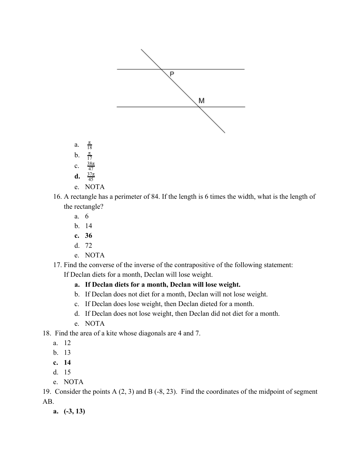

- a.  $\frac{\pi}{18}$  $b<sub>1</sub>$
- 17 c.  $\frac{38\pi}{47}$
- **d.**  $\frac{37\pi}{45}$
- e. NOTA
- 16. A rectangle has a perimeter of 84. If the length is 6 times the width, what is the length of the rectangle?
	- a. 6
	- b. 14
	- **c. 36**
	- d. 72
	- e. NOTA
- 17. Find the converse of the inverse of the contrapositive of the following statement:

If Declan diets for a month, Declan will lose weight.

- **a. If Declan diets for a month, Declan will lose weight.**
- b. If Declan does not diet for a month, Declan will not lose weight.
- c. If Declan does lose weight, then Declan dieted for a month.
- d. If Declan does not lose weight, then Declan did not diet for a month.
- e. NOTA

18. Find the area of a kite whose diagonals are 4 and 7.

- a. 12
- b. 13
- **c. 14**
- d. 15
- e. NOTA

19. Consider the points A (2, 3) and B (-8, 23). Find the coordinates of the midpoint of segment AB.

**a. (-3, 13)**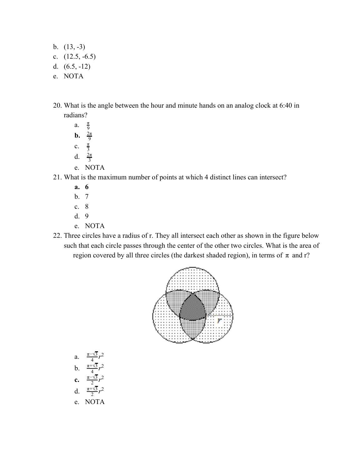- b.  $(13, -3)$
- c.  $(12.5, -6.5)$
- d. (6.5, -12)
- e. NOTA
- 20. What is the angle between the hour and minute hands on an analog clock at 6:40 in radians?
	- a.  $\frac{\pi}{9}$ **b.**  $\frac{2\pi}{9}$  $c.$  $rac{\pi}{3}$ d.  $\frac{2\pi}{3}$
	- e. NOTA
- 21. What is the maximum number of points at which 4 distinct lines can intersect?
	- **a. 6**
	- b. 7
	- c. 8
	- d. 9
	- e. NOTA
- 22. Three circles have a radius of r. They all intersect each other as shown in the figure below such that each circle passes through the center of the other two circles. What is the area of region covered by all three circles (the darkest shaded region), in terms of  $\pi$  and r?



a. 
$$
\frac{\pi - \sqrt{3}}{4}r^2
$$
  
\nb.  $\frac{\pi + \sqrt{3}}{4}r^2$   
\nc.  $\frac{\pi - \sqrt{3}}{2}r^2$   
\nd.  $\frac{\pi + \sqrt{3}}{2}r^2$   
\ne. NOTA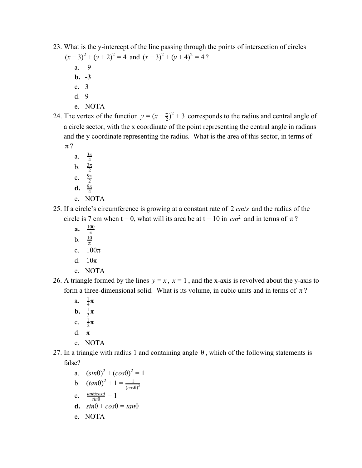23. What is the y-intercept of the line passing through the points of intersection of circles

 $(x-3)^2 + (y+2)^2 = 4$  and  $(x-3)^2 + (y+4)^2 = 4$ ?

- a. -9
- **b. -3**
- c. 3
- d. 9
- e. NOTA
- 24. The vertex of the function  $y = (x \frac{\pi}{2})^2 + 3$  corresponds to the radius and central angle of a circle sector, with the x coordinate of the point representing the central angle in radians and the y coordinate representing the radius. What is the area of this sector, in terms of π ?
	- a.  $\frac{3\pi}{4}$ b.  $\frac{3\pi}{2}$
	- c.  $\frac{9\pi}{2}$
	- **d.**  $\frac{9\pi}{4}$
	- e. NOTA
- 25. If a circle's circumference is growing at a constant rate of 2 *cm*/*s* and the radius of the circle is 7 cm when t = 0, what will its area be at t = 10 in  $cm<sup>2</sup>$  and in terms of  $\pi$ ?
	- **a.** π 100
	- b. 10
	- π c.  $100\pi$
	- d.  $10\pi$
	- e. NOTA
- 26. A triangle formed by the lines  $y = x$ ,  $x = 1$ , and the x-axis is revolved about the y-axis to form a three-dimensional solid. What is its volume, in cubic units and in terms of  $\pi$ ?
	- a.  $\frac{1}{4}\pi$
	- **b.**  $\frac{1}{3}\pi$
	- c.  $\frac{1}{2}\pi$
	- d  $\pi$
	- e. NOTA
- 27. In a triangle with radius 1 and containing angle  $\theta$ , which of the following statements is false?
	- a.  $(sin\theta)^2 + (cos\theta)^2 = 1$ b.  $(tan\theta)^2 + 1 = \frac{1}{(1 + \theta)^2}$  $(cos\theta)^2$ c.  $\frac{\tan\theta cos\theta}{sin\theta} = 1$ **d.**  $sin\theta + cos\theta = tan\theta$ e. NOTA